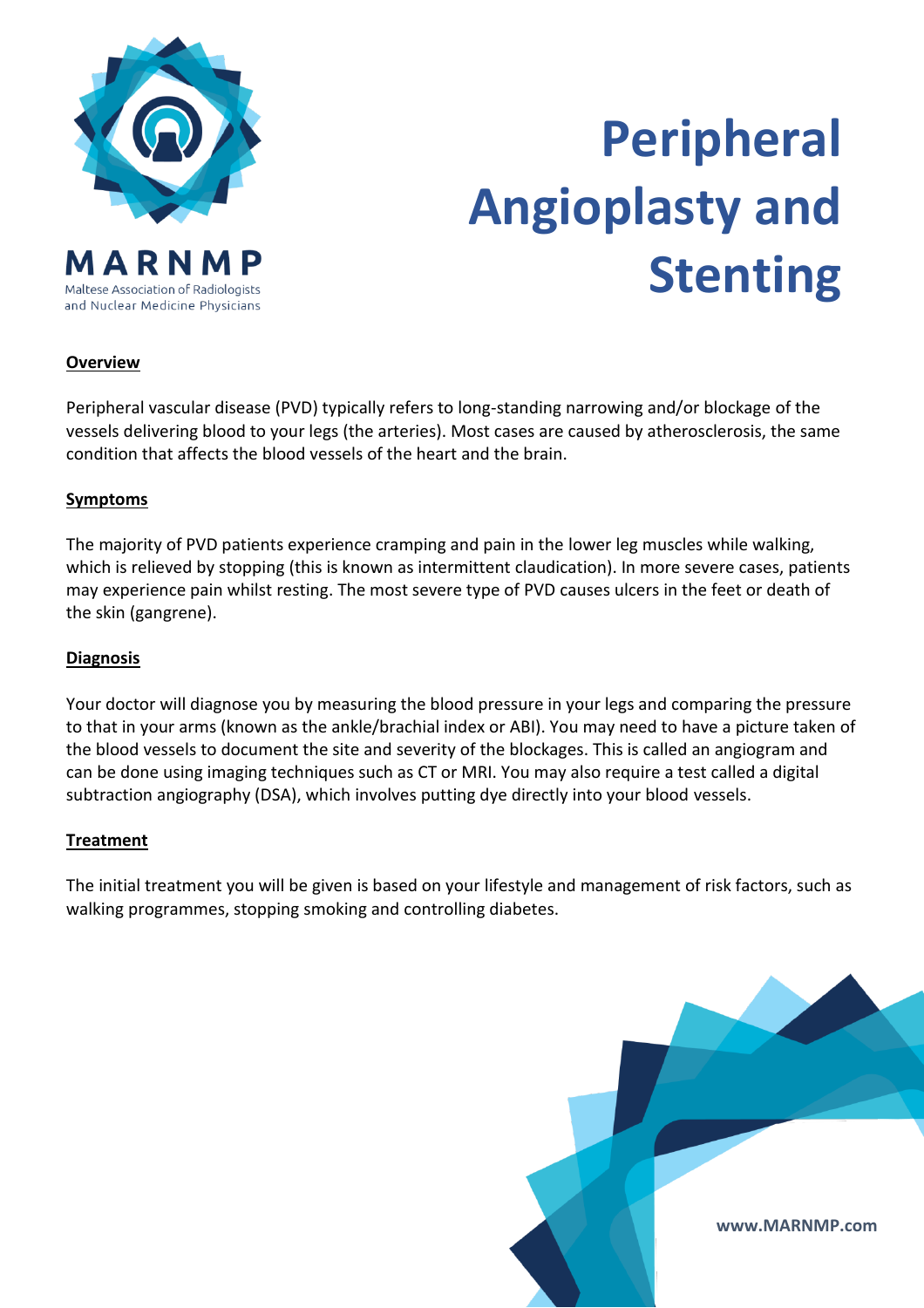

# **Peripheral Angioplasty and Stenting**

# **Overview**

Peripheral vascular disease (PVD) typically refers to long-standing narrowing and/or blockage of the vessels delivering blood to your legs (the arteries). Most cases are caused by atherosclerosis, the same condition that affects the blood vessels of the heart and the brain.

#### **Symptoms**

The majority of PVD patients experience cramping and pain in the lower leg muscles while walking, which is relieved by stopping (this is known as intermittent claudication). In more severe cases, patients may experience pain whilst resting. The most severe type of PVD causes ulcers in the feet or death of the skin (gangrene).

#### **Diagnosis**

Your doctor will diagnose you by measuring the blood pressure in your legs and comparing the pressure to that in your arms (known as the ankle/brachial index or ABI). You may need to have a picture taken of the blood vessels to document the site and severity of the blockages. This is called an angiogram and can be done using imaging techniques such as CT or MRI. You may also require a test called a digital subtraction angiography (DSA), which involves putting dye directly into your blood vessels.

#### **Treatment**

The initial treatment you will be given is based on your lifestyle and management of risk factors, such as walking programmes, stopping smoking and controlling diabetes.

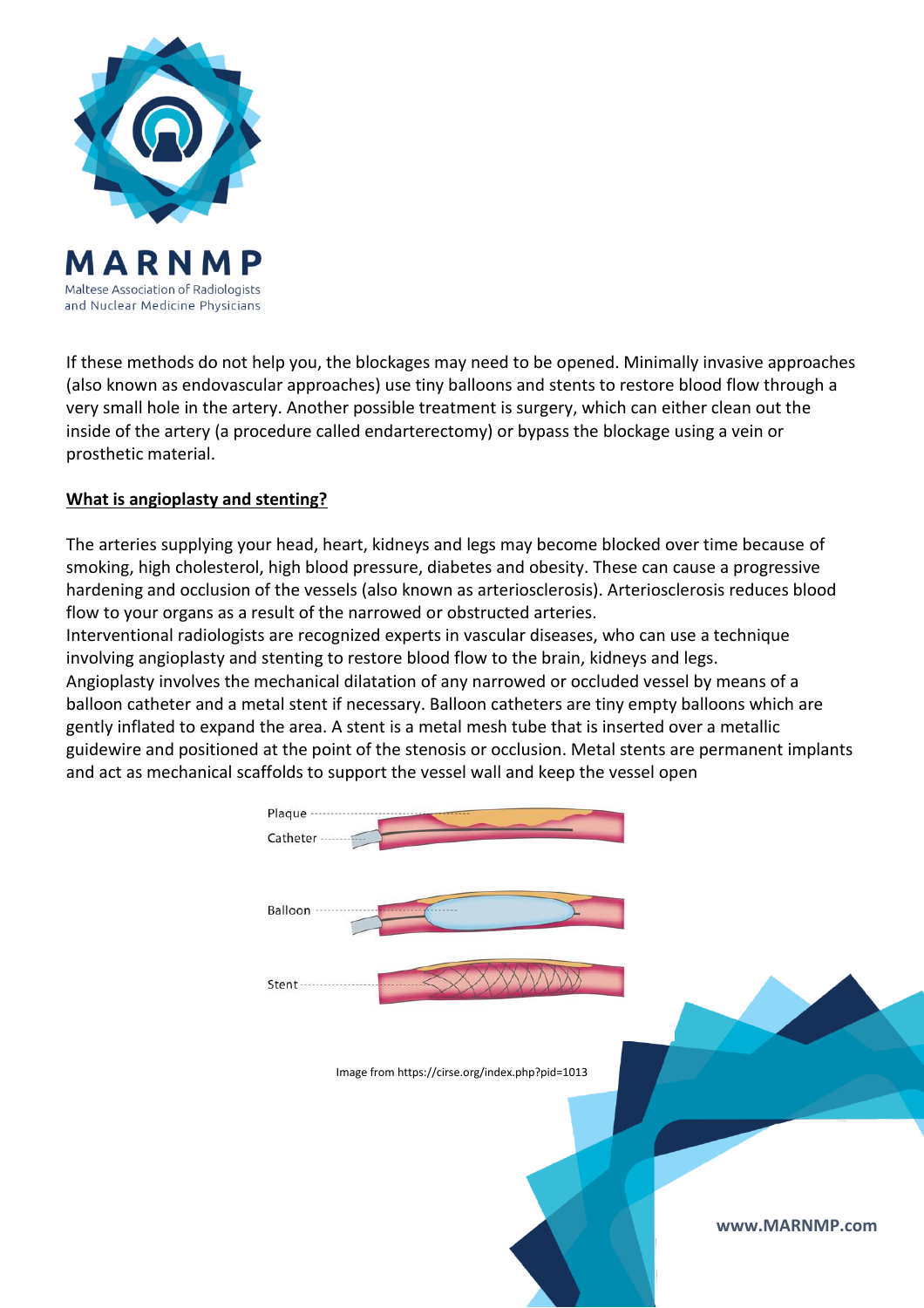

If these methods do not help you, the blockages may need to be opened. Minimally invasive approaches (also known as endovascular approaches) use tiny balloons and stents to restore blood flow through a very small hole in the artery. Another possible treatment is surgery, which can either clean out the inside of the artery (a procedure called endarterectomy) or bypass the blockage using a vein or prosthetic material.

# **What is angioplasty and stenting?**

The arteries supplying your head, heart, kidneys and legs may become blocked over time because of smoking, high cholesterol, high blood pressure, diabetes and obesity. These can cause a progressive hardening and occlusion of the vessels (also known as arteriosclerosis). Arteriosclerosis reduces blood flow to your organs as a result of the narrowed or obstructed arteries.

Interventional radiologists are recognized experts in vascular diseases, who can use a technique involving angioplasty and stenting to restore blood flow to the brain, kidneys and legs. Angioplasty involves the mechanical dilatation of any narrowed or occluded vessel by means of a balloon catheter and a metal stent if necessary. Balloon catheters are tiny empty balloons which are gently inflated to expand the area. A stent is a metal mesh tube that is inserted over a metallic guidewire and positioned at the point of the stenosis or occlusion. Metal stents are permanent implants and act as mechanical s[caffolds to support the vessel wall and keep the vessel op](https://eu-csite-storage-prod.s3.amazonaws.com/www-cirse-org/files/images/Patients/full sized images/Angioplasty-and-stenting(800x587).jpg)en

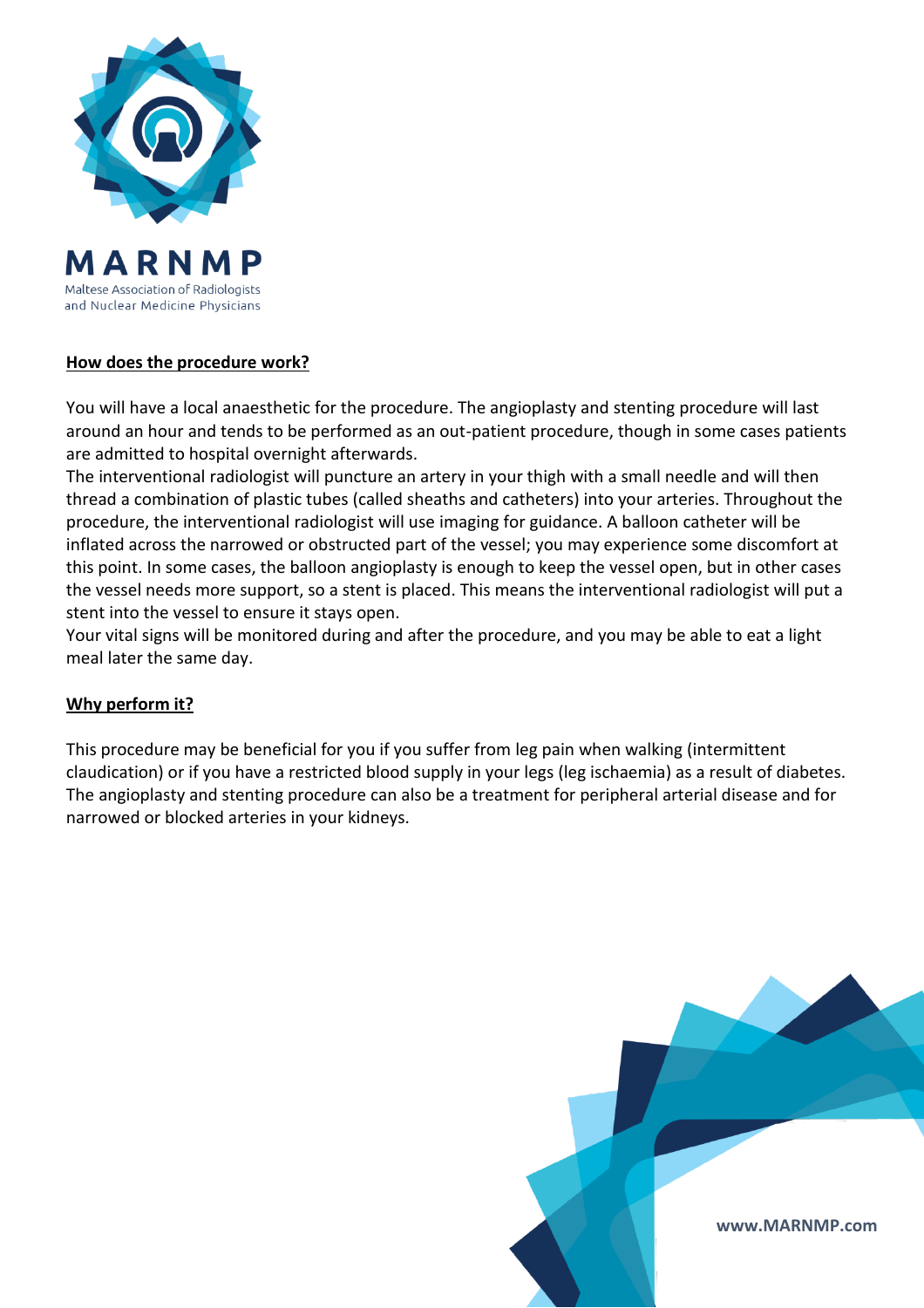

# **How does the procedure work?**

You will have a local anaesthetic for the procedure. The angioplasty and stenting procedure will last around an hour and tends to be performed as an out-patient procedure, though in some cases patients are admitted to hospital overnight afterwards.

The interventional radiologist will puncture an artery in your thigh with a small needle and will then thread a combination of plastic tubes (called sheaths and catheters) into your arteries. Throughout the procedure, the interventional radiologist will use imaging for guidance. A balloon catheter will be inflated across the narrowed or obstructed part of the vessel; you may experience some discomfort at this point. In some cases, the balloon angioplasty is enough to keep the vessel open, but in other cases the vessel needs more support, so a stent is placed. This means the interventional radiologist will put a stent into the vessel to ensure it stays open.

Your vital signs will be monitored during and after the procedure, and you may be able to eat a light meal later the same day.

# **Why perform it?**

This procedure may be beneficial for you if you suffer from leg pain when walking (intermittent claudication) or if you have a restricted blood supply in your legs (leg ischaemia) as a result of diabetes. The angioplasty and stenting procedure can also be a treatment for peripheral arterial disease and for narrowed or blocked arteries in your kidneys.